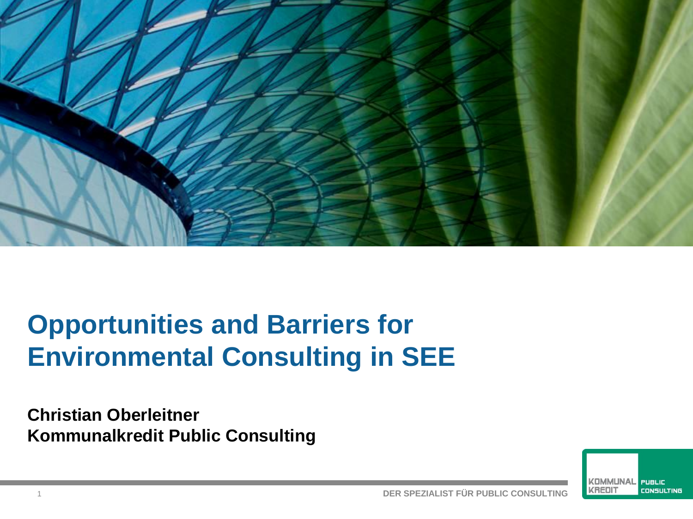

# **Opportunities and Barriers for Environmental Consulting in SEE**

**Christian Oberleitner Kommunalkredit Public Consulting**

> KOMMUNAI PUBLIC KREDI **CONSULTING**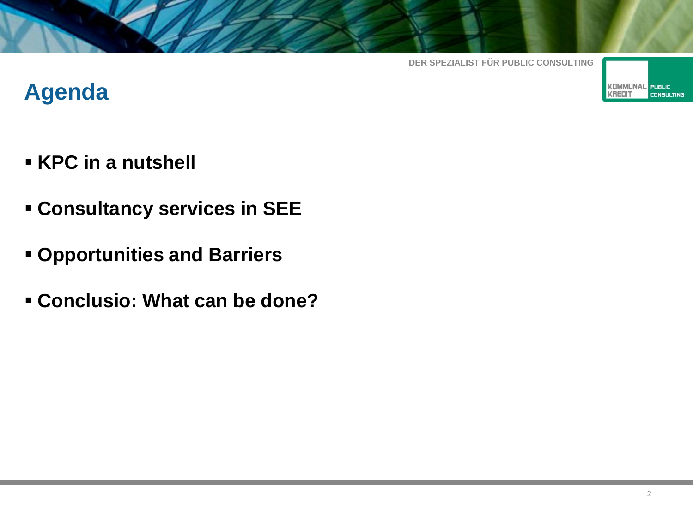

## **Agenda**

- **KPC in a nutshell**
- **Consultancy services in SEE**
- **Opportunities and Barriers**
- **Conclusio: What can be done?**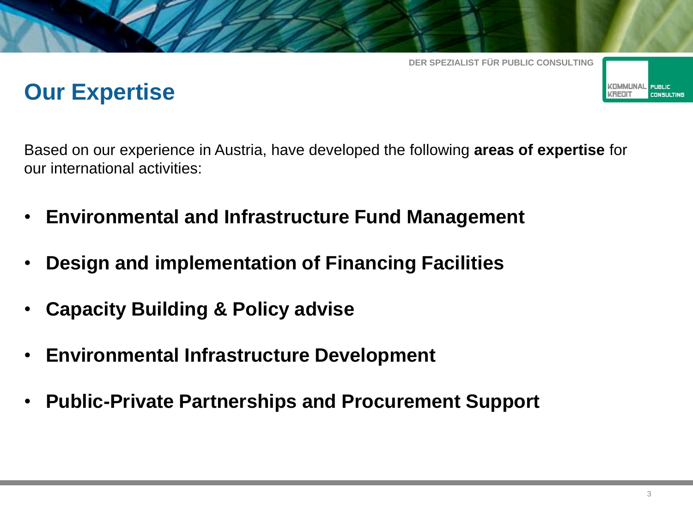## **Our Expertise**

Based on our experience in Austria, have developed the following **areas of expertise** for our international activities:

- **Environmental and Infrastructure Fund Management**
- **Design and implementation of Financing Facilities**
- **Capacity Building & Policy advise**
- **Environmental Infrastructure Development**
- **Public-Private Partnerships and Procurement Support**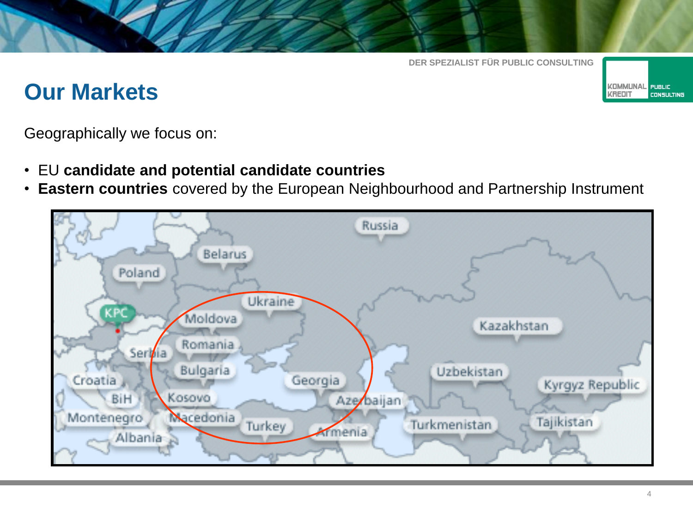## **Our Markets**

**KOMMUNAL** PUBLIC **KREDIT CONSULTING** 

Geographically we focus on:

- EU **candidate and potential candidate countries**
- **Eastern countries** covered by the European Neighbourhood and Partnership Instrument

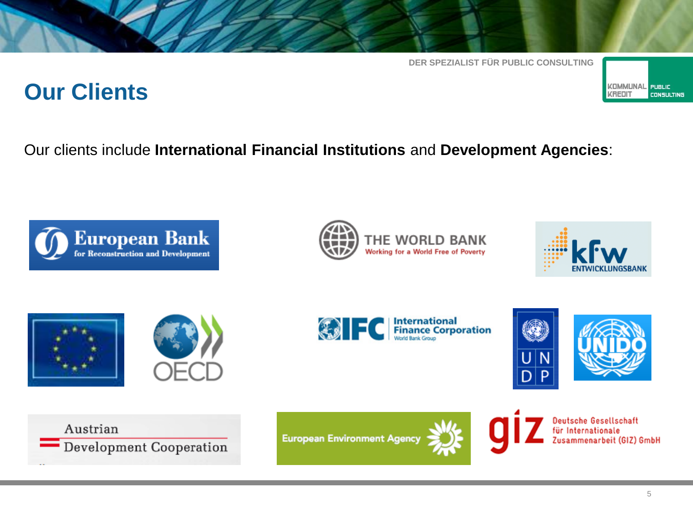## **Our Clients**









**KOMMUNAL** 

**KREDI** 

**PUBLIC** 

**CONSULTING** 









Austrian Development Cooperation





Deutsche Gesellschaft für Internationale Zusammenarbeit (GIZ) GmbH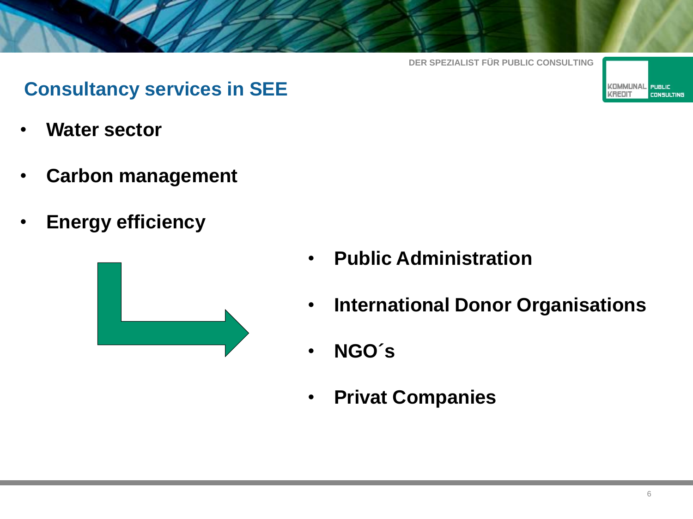

#### **Consultancy services in SEE**

- **Water sector**
- **Carbon management**
- **Energy efficiency**



- **Public Administration**
- **International Donor Organisations**
- **NGO´s**
- **Privat Companies**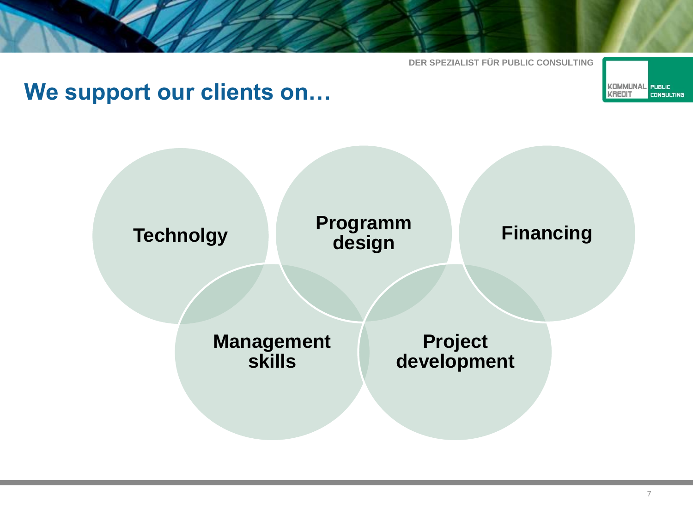## **We support our clients on…**

**Technolgy Management skills Programm design Project development Financing**

**KOMMUNAL** 

**KREDI** 

**PUBLIC** 

**CONSULTING** 

7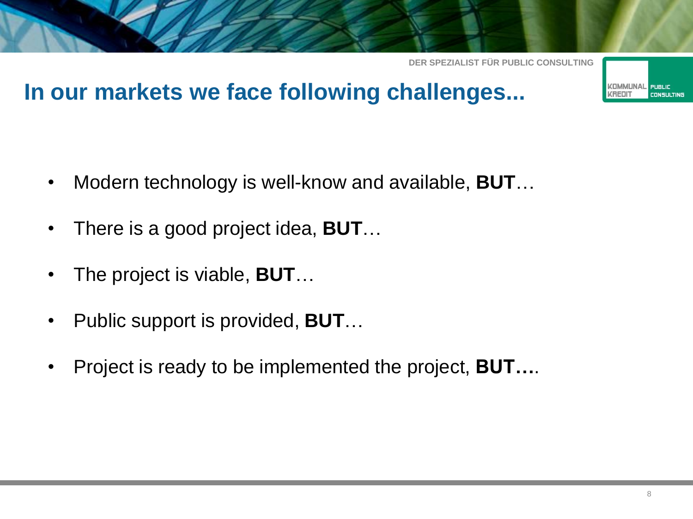## **In our markets we face following challenges...**

- Modern technology is well-know and available, **BUT**…
- There is a good project idea, **BUT**…
- The project is viable, **BUT**…
- Public support is provided, **BUT**…
- Project is ready to be implemented the project, **BUT…**.

KOMMLINAI

**CONSULTING**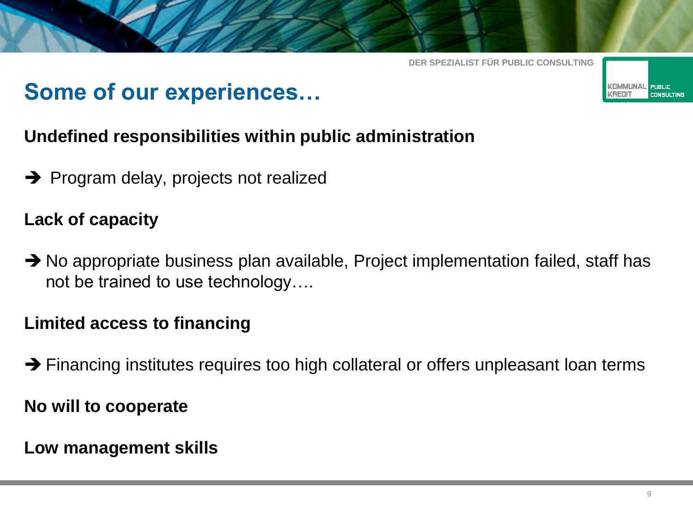## **Some of our experiences…**



#### **Undefined responsibilities within public administration**

 $\rightarrow$  Program delay, projects not realized

#### **Lack of capacity**

 $\rightarrow$  No appropriate business plan available, Project implementation failed, staff has not be trained to use technology….

#### **Limited access to financing**

 $\rightarrow$  Financing institutes requires too high collateral or offers unpleasant loan terms

**No will to cooperate**

**Low management skills**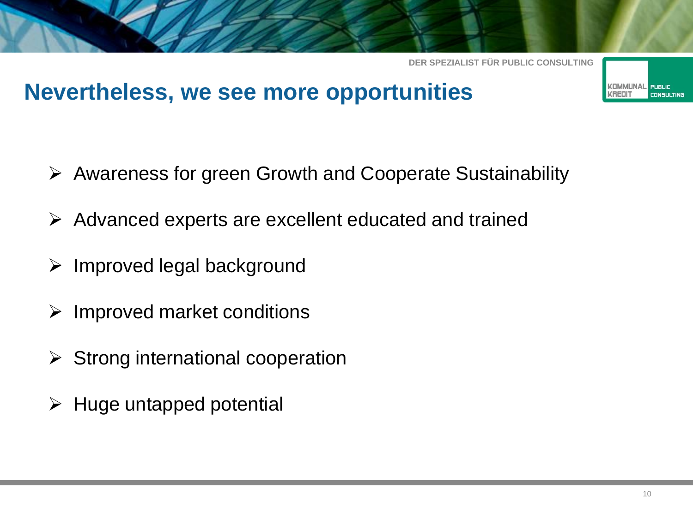## **Nevertheless, we see more opportunities**

- Awareness for green Growth and Cooperate Sustainability
- $\triangleright$  Advanced experts are excellent educated and trained
- $\triangleright$  Improved legal background
- $\triangleright$  Improved market conditions
- $\triangleright$  Strong international cooperation
- $\triangleright$  Huge untapped potential

**CONSULTING**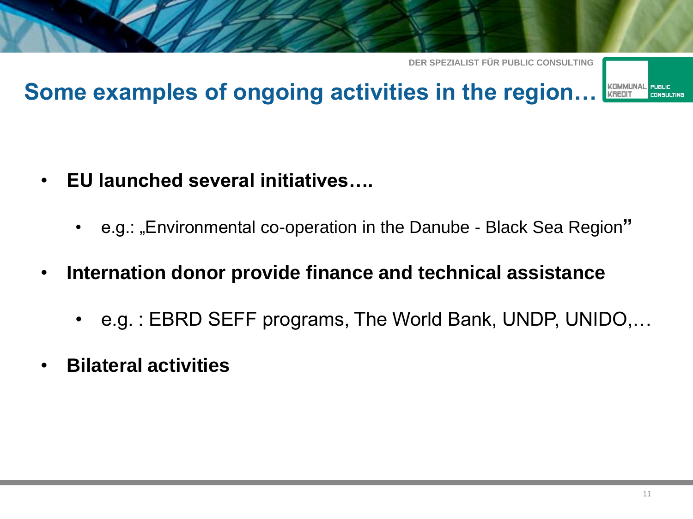

#### **Some examples of ongoing activities in the region… KOMMUNAI KREDI**

- **EU launched several initiatives….**
	- e.g.: "Environmental co-operation in the Danube Black Sea Region**"**
- **Internation donor provide finance and technical assistance**
	- e.g. : EBRD SEFF programs, The World Bank, UNDP, UNIDO,…
- **Bilateral activities**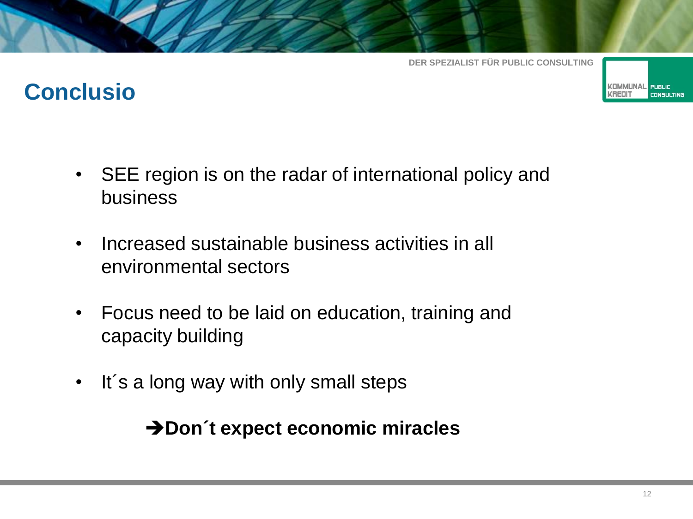

## **Conclusio**

- SEE region is on the radar of international policy and business
- Increased sustainable business activities in all environmental sectors
- Focus need to be laid on education, training and capacity building
- It´s a long way with only small steps

### **→ Don**´t expect economic miracles